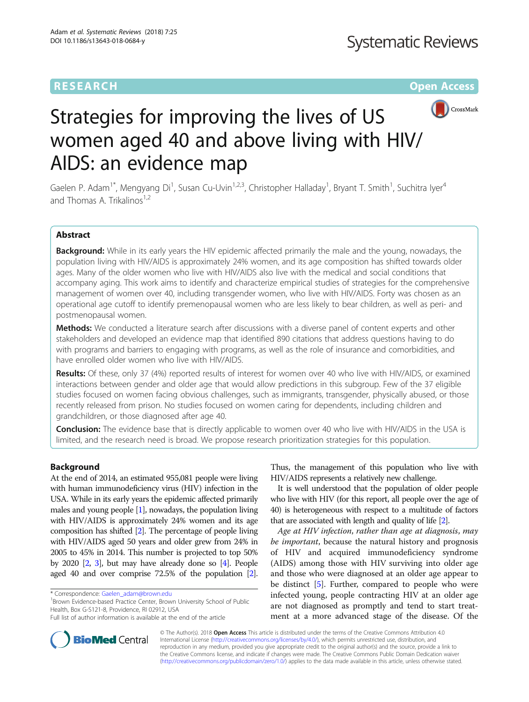# **RESEARCH CHINESE ARCH CHINESE ARCH CHINESE ARCH**



# Strategies for improving the lives of US women aged 40 and above living with HIV/ AIDS: an evidence map

Gaelen P. Adam<sup>1\*</sup>, Mengyang Di<sup>1</sup>, Susan Cu-Uvin<sup>1,2,3</sup>, Christopher Halladay<sup>1</sup>, Bryant T. Smith<sup>1</sup>, Suchitra Iyer<sup>4</sup> and Thomas A. Trikalinos<sup>1,2</sup>

# Abstract

Background: While in its early years the HIV epidemic affected primarily the male and the young, nowadays, the population living with HIV/AIDS is approximately 24% women, and its age composition has shifted towards older ages. Many of the older women who live with HIV/AIDS also live with the medical and social conditions that accompany aging. This work aims to identify and characterize empirical studies of strategies for the comprehensive management of women over 40, including transgender women, who live with HIV/AIDS. Forty was chosen as an operational age cutoff to identify premenopausal women who are less likely to bear children, as well as peri- and postmenopausal women.

Methods: We conducted a literature search after discussions with a diverse panel of content experts and other stakeholders and developed an evidence map that identified 890 citations that address questions having to do with programs and barriers to engaging with programs, as well as the role of insurance and comorbidities, and have enrolled older women who live with HIV/AIDS.

Results: Of these, only 37 (4%) reported results of interest for women over 40 who live with HIV/AIDS, or examined interactions between gender and older age that would allow predictions in this subgroup. Few of the 37 eligible studies focused on women facing obvious challenges, such as immigrants, transgender, physically abused, or those recently released from prison. No studies focused on women caring for dependents, including children and grandchildren, or those diagnosed after age 40.

Conclusion: The evidence base that is directly applicable to women over 40 who live with HIV/AIDS in the USA is limited, and the research need is broad. We propose research prioritization strategies for this population.

# Background

At the end of 2014, an estimated 955,081 people were living with human immunodeficiency virus (HIV) infection in the USA. While in its early years the epidemic affected primarily males and young people [[1](#page-8-0)], nowadays, the population living with HIV/AIDS is approximately 24% women and its age composition has shifted [\[2\]](#page-8-0). The percentage of people living with HIV/AIDS aged 50 years and older grew from 24% in 2005 to 45% in 2014. This number is projected to top 50% by 2020 [\[2,](#page-8-0) [3](#page-8-0)], but may have already done so [[4](#page-8-0)]. People aged 40 and over comprise 72.5% of the population [\[2](#page-8-0)].

<sup>1</sup> Brown Evidence-based Practice Center, Brown University School of Public Health, Box G-S121-8, Providence, RI 02912, USA

Thus, the management of this population who live with HIV/AIDS represents a relatively new challenge.

It is well understood that the population of older people who live with HIV (for this report, all people over the age of 40) is heterogeneous with respect to a multitude of factors that are associated with length and quality of life [\[2\]](#page-8-0).

Age at HIV infection, rather than age at diagnosis, may be important, because the natural history and prognosis of HIV and acquired immunodeficiency syndrome (AIDS) among those with HIV surviving into older age and those who were diagnosed at an older age appear to be distinct [[5\]](#page-8-0). Further, compared to people who were infected young, people contracting HIV at an older age are not diagnosed as promptly and tend to start treatment at a more advanced stage of the disease. Of the



© The Author(s). 2018 Open Access This article is distributed under the terms of the Creative Commons Attribution 4.0 International License [\(http://creativecommons.org/licenses/by/4.0/](http://creativecommons.org/licenses/by/4.0/)), which permits unrestricted use, distribution, and reproduction in any medium, provided you give appropriate credit to the original author(s) and the source, provide a link to the Creative Commons license, and indicate if changes were made. The Creative Commons Public Domain Dedication waiver [\(http://creativecommons.org/publicdomain/zero/1.0/](http://creativecommons.org/publicdomain/zero/1.0/)) applies to the data made available in this article, unless otherwise stated.

<sup>\*</sup> Correspondence: [Gaelen\\_adam@brown.edu](mailto:Gaelen_adam@brown.edu) <sup>1</sup>

Full list of author information is available at the end of the article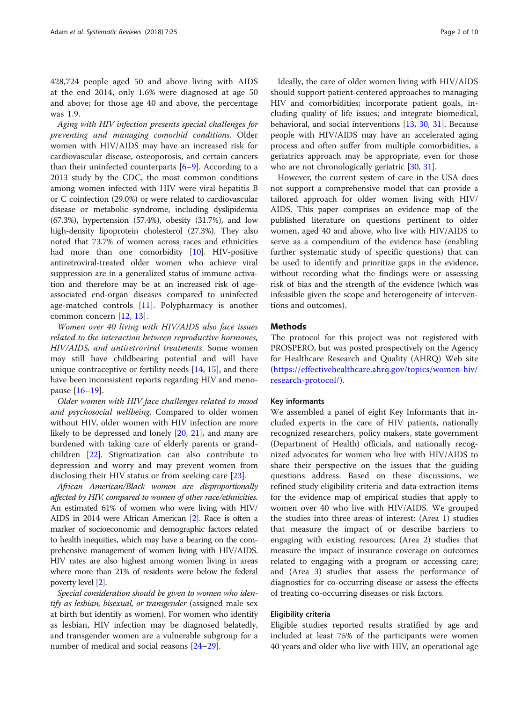428,724 people aged 50 and above living with AIDS at the end 2014, only 1.6% were diagnosed at age 50 and above; for those age 40 and above, the percentage was 1.9.

Aging with HIV infection presents special challenges for preventing and managing comorbid conditions. Older women with HIV/AIDS may have an increased risk for cardiovascular disease, osteoporosis, and certain cancers than their uninfected counterparts  $[6-9]$  $[6-9]$  $[6-9]$  $[6-9]$ . According to a 2013 study by the CDC, the most common conditions among women infected with HIV were viral hepatitis B or C coinfection (29.0%) or were related to cardiovascular disease or metabolic syndrome, including dyslipidemia (67.3%), hypertension (57.4%), obesity (31.7%), and low high-density lipoprotein cholesterol (27.3%). They also noted that 73.7% of women across races and ethnicities had more than one comorbidity [[10](#page-8-0)]. HIV-positive antiretroviral-treated older women who achieve viral suppression are in a generalized status of immune activation and therefore may be at an increased risk of ageassociated end-organ diseases compared to uninfected age-matched controls [\[11](#page-8-0)]. Polypharmacy is another common concern [\[12](#page-8-0), [13](#page-8-0)].

Women over 40 living with HIV/AIDS also face issues related to the interaction between reproductive hormones, HIV/AIDS, and antiretroviral treatments. Some women may still have childbearing potential and will have unique contraceptive or fertility needs [[14,](#page-8-0) [15](#page-8-0)], and there have been inconsistent reports regarding HIV and menopause [[16](#page-8-0)–[19](#page-8-0)].

Older women with HIV face challenges related to mood and psychosocial wellbeing. Compared to older women without HIV, older women with HIV infection are more likely to be depressed and lonely [[20](#page-8-0), [21\]](#page-8-0), and many are burdened with taking care of elderly parents or grandchildren [[22](#page-8-0)]. Stigmatization can also contribute to depression and worry and may prevent women from disclosing their HIV status or from seeking care [[23\]](#page-8-0).

African American/Black women are disproportionally affected by HIV, compared to women of other race/ethnicities. An estimated 61% of women who were living with HIV/ AIDS in 2014 were African American [\[2](#page-8-0)]. Race is often a marker of socioeconomic and demographic factors related to health inequities, which may have a bearing on the comprehensive management of women living with HIV/AIDS. HIV rates are also highest among women living in areas where more than 21% of residents were below the federal poverty level [\[2\]](#page-8-0).

Special consideration should be given to women who identify as lesbian, bisexual, or transgender (assigned male sex at birth but identify as women). For women who identify as lesbian, HIV infection may be diagnosed belatedly, and transgender women are a vulnerable subgroup for a number of medical and social reasons [[24](#page-8-0)–[29](#page-8-0)].

Ideally, the care of older women living with HIV/AIDS should support patient-centered approaches to managing HIV and comorbidities; incorporate patient goals, including quality of life issues; and integrate biomedical, behavioral, and social interventions [[13,](#page-8-0) [30](#page-8-0), [31](#page-8-0)]. Because people with HIV/AIDS may have an accelerated aging process and often suffer from multiple comorbidities, a geriatrics approach may be appropriate, even for those who are not chronologically geriatric [[30,](#page-8-0) [31\]](#page-8-0).

However, the current system of care in the USA does not support a comprehensive model that can provide a tailored approach for older women living with HIV/ AIDS. This paper comprises an evidence map of the published literature on questions pertinent to older women, aged 40 and above, who live with HIV/AIDS to serve as a compendium of the evidence base (enabling further systematic study of specific questions) that can be used to identify and prioritize gaps in the evidence, without recording what the findings were or assessing risk of bias and the strength of the evidence (which was infeasible given the scope and heterogeneity of interventions and outcomes).

# **Methods**

The protocol for this project was not registered with PROSPERO, but was posted prospectively on the Agency for Healthcare Research and Quality (AHRQ) Web site ([https://effectivehealthcare.ahrq.gov/topics/women-hiv/](https://effectivehealthcare.ahrq.gov/topics/women-hiv/research-protocol) [research-protocol/](https://effectivehealthcare.ahrq.gov/topics/women-hiv/research-protocol)).

# Key informants

We assembled a panel of eight Key Informants that included experts in the care of HIV patients, nationally recognized researchers, policy makers, state government (Department of Health) officials, and nationally recognized advocates for women who live with HIV/AIDS to share their perspective on the issues that the guiding questions address. Based on these discussions, we refined study eligibility criteria and data extraction items for the evidence map of empirical studies that apply to women over 40 who live with HIV/AIDS. We grouped the studies into three areas of interest: (Area 1) studies that measure the impact of or describe barriers to engaging with existing resources; (Area 2) studies that measure the impact of insurance coverage on outcomes related to engaging with a program or accessing care; and (Area 3) studies that assess the performance of diagnostics for co-occurring disease or assess the effects of treating co-occurring diseases or risk factors.

# Eligibility criteria

Eligible studies reported results stratified by age and included at least 75% of the participants were women 40 years and older who live with HIV, an operational age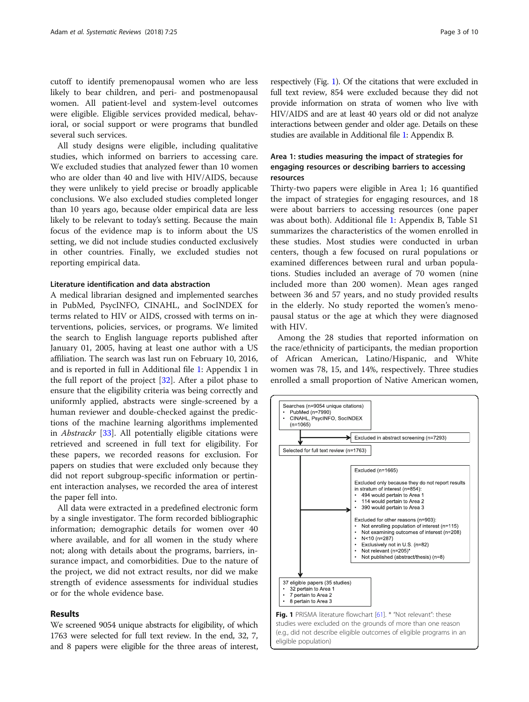cutoff to identify premenopausal women who are less likely to bear children, and peri- and postmenopausal women. All patient-level and system-level outcomes were eligible. Eligible services provided medical, behavioral, or social support or were programs that bundled several such services.

All study designs were eligible, including qualitative studies, which informed on barriers to accessing care. We excluded studies that analyzed fewer than 10 women who are older than 40 and live with HIV/AIDS, because they were unlikely to yield precise or broadly applicable conclusions. We also excluded studies completed longer than 10 years ago, because older empirical data are less likely to be relevant to today's setting. Because the main focus of the evidence map is to inform about the US setting, we did not include studies conducted exclusively in other countries. Finally, we excluded studies not reporting empirical data.

#### Literature identification and data abstraction

A medical librarian designed and implemented searches in PubMed, PsycINFO, CINAHL, and SocINDEX for terms related to HIV or AIDS, crossed with terms on interventions, policies, services, or programs. We limited the search to English language reports published after January 01, 2005, having at least one author with a US affiliation. The search was last run on February 10, 2016, and is reported in full in Additional file [1:](#page-7-0) Appendix 1 in the full report of the project [\[32\]](#page-8-0). After a pilot phase to ensure that the eligibility criteria was being correctly and uniformly applied, abstracts were single-screened by a human reviewer and double-checked against the predictions of the machine learning algorithms implemented in Abstrackr [[33](#page-8-0)]. All potentially eligible citations were retrieved and screened in full text for eligibility. For these papers, we recorded reasons for exclusion. For papers on studies that were excluded only because they did not report subgroup-specific information or pertinent interaction analyses, we recorded the area of interest the paper fell into.

All data were extracted in a predefined electronic form by a single investigator. The form recorded bibliographic information; demographic details for women over 40 where available, and for all women in the study where not; along with details about the programs, barriers, insurance impact, and comorbidities. Due to the nature of the project, we did not extract results, nor did we make strength of evidence assessments for individual studies or for the whole evidence base.

#### Results

We screened 9054 unique abstracts for eligibility, of which 1763 were selected for full text review. In the end, 32, 7, and 8 papers were eligible for the three areas of interest,

respectively (Fig. 1). Of the citations that were excluded in full text review, 854 were excluded because they did not provide information on strata of women who live with HIV/AIDS and are at least 40 years old or did not analyze interactions between gender and older age. Details on these studies are available in Additional file [1:](#page-7-0) Appendix B.

# Area 1: studies measuring the impact of strategies for engaging resources or describing barriers to accessing resources

Thirty-two papers were eligible in Area 1; 16 quantified the impact of strategies for engaging resources, and 18 were about barriers to accessing resources (one paper was about both). Additional file [1:](#page-7-0) Appendix B, Table S1 summarizes the characteristics of the women enrolled in these studies. Most studies were conducted in urban centers, though a few focused on rural populations or examined differences between rural and urban populations. Studies included an average of 70 women (nine included more than 200 women). Mean ages ranged between 36 and 57 years, and no study provided results in the elderly. No study reported the women's menopausal status or the age at which they were diagnosed with HIV.

Among the 28 studies that reported information on the race/ethnicity of participants, the median proportion of African American, Latino/Hispanic, and White women was 78, 15, and 14%, respectively. Three studies enrolled a small proportion of Native American women,



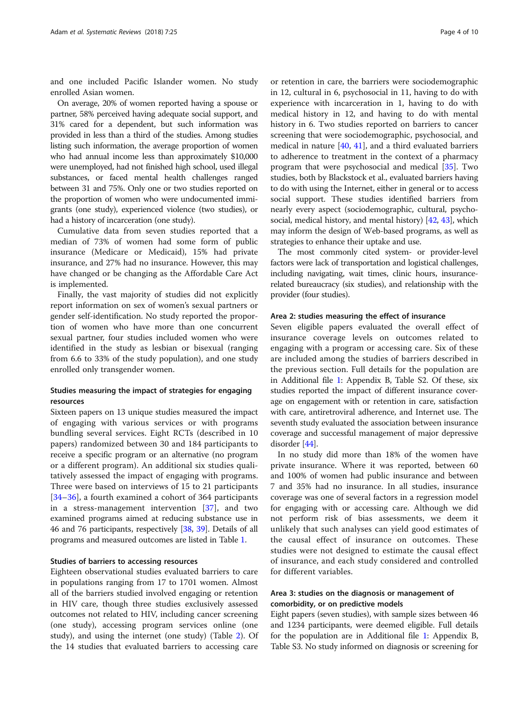and one included Pacific Islander women. No study enrolled Asian women.

On average, 20% of women reported having a spouse or partner, 58% perceived having adequate social support, and 31% cared for a dependent, but such information was provided in less than a third of the studies. Among studies listing such information, the average proportion of women who had annual income less than approximately \$10,000 were unemployed, had not finished high school, used illegal substances, or faced mental health challenges ranged between 31 and 75%. Only one or two studies reported on the proportion of women who were undocumented immigrants (one study), experienced violence (two studies), or had a history of incarceration (one study).

Cumulative data from seven studies reported that a median of 73% of women had some form of public insurance (Medicare or Medicaid), 15% had private insurance, and 27% had no insurance. However, this may have changed or be changing as the Affordable Care Act is implemented.

Finally, the vast majority of studies did not explicitly report information on sex of women's sexual partners or gender self-identification. No study reported the proportion of women who have more than one concurrent sexual partner, four studies included women who were identified in the study as lesbian or bisexual (ranging from 6.6 to 33% of the study population), and one study enrolled only transgender women.

# Studies measuring the impact of strategies for engaging resources

Sixteen papers on 13 unique studies measured the impact of engaging with various services or with programs bundling several services. Eight RCTs (described in 10 papers) randomized between 30 and 184 participants to receive a specific program or an alternative (no program or a different program). An additional six studies qualitatively assessed the impact of engaging with programs. Three were based on interviews of 15 to 21 participants [[34](#page-8-0)–[36\]](#page-8-0), a fourth examined a cohort of 364 participants in a stress-management intervention [[37](#page-9-0)], and two examined programs aimed at reducing substance use in 46 and 76 participants, respectively [\[38,](#page-9-0) [39\]](#page-9-0). Details of all programs and measured outcomes are listed in Table [1.](#page-4-0)

# Studies of barriers to accessing resources

Eighteen observational studies evaluated barriers to care in populations ranging from 17 to 1701 women. Almost all of the barriers studied involved engaging or retention in HIV care, though three studies exclusively assessed outcomes not related to HIV, including cancer screening (one study), accessing program services online (one study), and using the internet (one study) (Table [2\)](#page-5-0). Of the 14 studies that evaluated barriers to accessing care or retention in care, the barriers were sociodemographic in 12, cultural in 6, psychosocial in 11, having to do with experience with incarceration in 1, having to do with medical history in 12, and having to do with mental history in 6. Two studies reported on barriers to cancer screening that were sociodemographic, psychosocial, and medical in nature  $[40, 41]$  $[40, 41]$  $[40, 41]$  $[40, 41]$ , and a third evaluated barriers to adherence to treatment in the context of a pharmacy program that were psychosocial and medical [[35\]](#page-8-0). Two studies, both by Blackstock et al., evaluated barriers having to do with using the Internet, either in general or to access social support. These studies identified barriers from nearly every aspect (sociodemographic, cultural, psychosocial, medical history, and mental history) [\[42](#page-9-0), [43\]](#page-9-0), which may inform the design of Web-based programs, as well as strategies to enhance their uptake and use.

The most commonly cited system- or provider-level factors were lack of transportation and logistical challenges, including navigating, wait times, clinic hours, insurancerelated bureaucracy (six studies), and relationship with the provider (four studies).

## Area 2: studies measuring the effect of insurance

Seven eligible papers evaluated the overall effect of insurance coverage levels on outcomes related to engaging with a program or accessing care. Six of these are included among the studies of barriers described in the previous section. Full details for the population are in Additional file [1:](#page-7-0) Appendix B, Table S2. Of these, six studies reported the impact of different insurance coverage on engagement with or retention in care, satisfaction with care, antiretroviral adherence, and Internet use. The seventh study evaluated the association between insurance coverage and successful management of major depressive disorder [\[44](#page-9-0)].

In no study did more than 18% of the women have private insurance. Where it was reported, between 60 and 100% of women had public insurance and between 7 and 35% had no insurance. In all studies, insurance coverage was one of several factors in a regression model for engaging with or accessing care. Although we did not perform risk of bias assessments, we deem it unlikely that such analyses can yield good estimates of the causal effect of insurance on outcomes. These studies were not designed to estimate the causal effect of insurance, and each study considered and controlled for different variables.

# Area 3: studies on the diagnosis or management of comorbidity, or on predictive models

Eight papers (seven studies), with sample sizes between 46 and 1234 participants, were deemed eligible. Full details for the population are in Additional file [1:](#page-7-0) Appendix B, Table S3. No study informed on diagnosis or screening for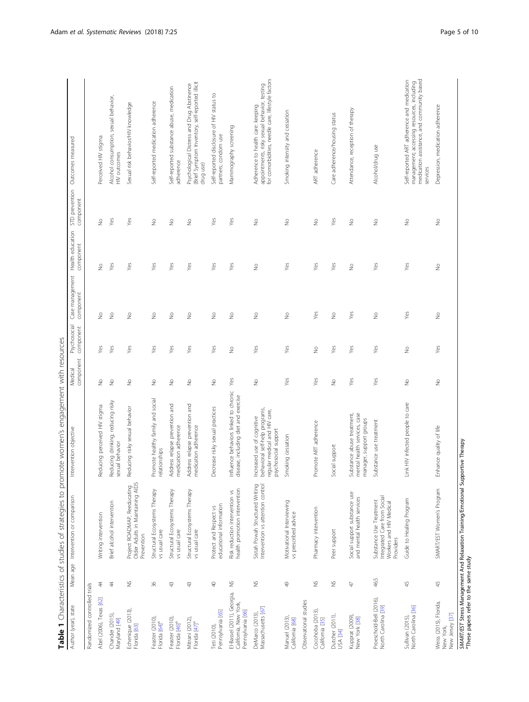| Table 1 Characteristics of studies of strategies to promote women's engagement with resources | d<br>$\ddot{\phantom{a}}$ |
|-----------------------------------------------------------------------------------------------|---------------------------|
|                                                                                               |                           |
|                                                                                               |                           |
|                                                                                               |                           |
|                                                                                               |                           |
|                                                                                               |                           |
|                                                                                               |                           |
|                                                                                               |                           |

| Author (year), state                                                     |               | Mean age Intervention or comparison                                                            | Intervention objective                                                                                                | component<br>Medical     | Psychosocial<br>component | component                | component                | component                | Case management Health education STD prevention Outcomes measured                                                                                  |
|--------------------------------------------------------------------------|---------------|------------------------------------------------------------------------------------------------|-----------------------------------------------------------------------------------------------------------------------|--------------------------|---------------------------|--------------------------|--------------------------|--------------------------|----------------------------------------------------------------------------------------------------------------------------------------------------|
| Randomized controlled trials                                             |               |                                                                                                |                                                                                                                       |                          |                           |                          |                          |                          |                                                                                                                                                    |
| Abel (2006), Texas [62]                                                  | $\ddot{4}$    | Writing intervention                                                                           | Reducing perceived HIV stigma                                                                                         | $\frac{1}{2}$            | Yes                       | $\frac{1}{2}$            | $\frac{1}{2}$            | $\frac{1}{2}$            | Perceived HIV stigma                                                                                                                               |
| Chander (2015),<br>Maryland [49]                                         | 4             | Brief alcohol intervention                                                                     | Reducing drinking; reducing risky<br>sexual behavior                                                                  | š                        | Yes                       | $\frac{1}{2}$            | Yes                      | Yes                      | Alcohol consumption, sexual behavior,<br><b>HIV</b> outcomes                                                                                       |
| Echenique (2013),<br>Florida [63]                                        | $\gtrapprox$  | Project ROADMAP, Reeducating<br>Older Adults in Maintaining AIDS<br>Prevention                 | Reducing risky sexual behavior                                                                                        | ş                        | Yes                       | $\stackrel{\circ}{\geq}$ | Yes                      | Yes                      | Sexual risk behavior/HIV knowledge                                                                                                                 |
| Feaster (2010),<br>Florida [64] <sup>a</sup>                             | 36            | Structural Ecosystems Therapy<br>vs usual care                                                 | Promote healthy family and social<br>relationships                                                                    | $\frac{1}{2}$            | Yes                       | $\stackrel{\circ}{\geq}$ | Yes                      | $\stackrel{\circ}{\geq}$ | Self-reported medication adherence                                                                                                                 |
| Feaster (2010),<br>Florida [46] <sup>a</sup>                             | 43            | Structural Ecosystems Therapy<br>vs usual care                                                 | Address relapse prevention and<br>medication adherence                                                                | $\frac{1}{2}$            | Yes                       | $\frac{1}{2}$            | Yes                      | $\geqq$                  | Self-reported substance abuse, medication<br>adherence                                                                                             |
| Mitrani (2012),<br>Florida [47] <sup>a</sup>                             | $43$          | Structural Ecosystems Therapy<br>vs usual care                                                 | Address relapse prevention and<br>medication adherence                                                                | $\stackrel{\circ}{\geq}$ | Yes                       | $\stackrel{\circ}{\geq}$ | Yes                      | $\stackrel{\circ}{\geq}$ | (Brief Symptom Inventory, self-reported illicit<br>Psychological Distress and Drug Abstinence<br>drug use)                                         |
| Pennsylvania [65]<br>Teti (2010),                                        | $\mathbb Q$   | educational information<br>Protect and Respect vs                                              | Decrease risky sexual practices                                                                                       | $\geqq$                  | Yes                       | $\stackrel{\circ}{\geq}$ | Yes                      | Yes                      | Self-reported disclosure of HIV status to<br>partners; condom use                                                                                  |
| El-Bassel (2011), Georgia,<br>California, New York,<br>Pennsylvania [66] | ž             | health promotion intervention<br>Risk reduction intervention vs                                | Influence behaviors linked to chronic<br>disease, including diet and exercise                                         | Yes                      | $\frac{1}{2}$             | $\stackrel{\circ}{\geq}$ | Yes                      | Yes                      | Mammography screening                                                                                                                              |
| Massachusetts [67]<br>DeMarco (2013),                                    | $\gtrapprox$  | Sistah Powah Structured Writing<br>Intervention vs attention control                           | behavioral self-help programs,<br>regular medical and HIV care,<br>Increased use of cognitive<br>psychosocial support | ž                        | Yes                       | ž                        | $\stackrel{\circ}{\geq}$ | $\frac{1}{2}$            | for comorbidities, needle care, lifestyle factors<br>Adherence to health care: keeping<br>appointments, risky sexual behavior, testing             |
| Manuel (2013)<br>California [68]                                         | $\frac{1}{2}$ | Motivational Interviewing<br>vs prescribed advice                                              | Smoking cessation                                                                                                     | Yes                      | Yes                       | $\stackrel{\circ}{\geq}$ | Yes                      | $\stackrel{\circ}{\geq}$ | Smoking intensity and cessation                                                                                                                    |
| Observational studies                                                    |               |                                                                                                |                                                                                                                       |                          |                           |                          |                          |                          |                                                                                                                                                    |
| Cocohoba (2013),<br>California [35]                                      | $\gtrapprox$  | Pharmacy intervention                                                                          | Promote ART adherence                                                                                                 | Yes                      | $\frac{1}{2}$             | Yes                      | Yes                      | $\frac{1}{2}$            | ART adherence                                                                                                                                      |
| Dutcher (2011),<br>USA [34]                                              | $\breve\Xi$   | Peer support                                                                                   | Social support                                                                                                        | $\stackrel{\circ}{\geq}$ | Yes                       | $\stackrel{\circ}{\geq}$ | Yes                      | Yes                      | Care adherence/housing status                                                                                                                      |
| Kupprat (2009),<br>New York [38]                                         | 47            | Social support substance use<br>and mental health services                                     | mental health services, case<br>Substance abuse treatment,<br>manager, support groups                                 | Yes                      | Yes                       | Yes                      | $\frac{1}{2}$            | $\frac{1}{2}$            | Attendance, reception of therapy                                                                                                                   |
| Proeschold-Bell (2016),<br>North Carolina [39]                           | 46.5          | Integrated Care from Social<br>Substance Use Treatment<br>Workers and HIV Medical<br>Providers | Substance use treatment                                                                                               | Yes                      | Yes                       | $\frac{1}{2}$            | Yes                      | $\frac{1}{2}$            | Alcohol/drug use                                                                                                                                   |
| Sullivan (2015),<br>North Carolina [36]                                  | 45            | Guide to Healing Program                                                                       | ink HIV infected people to care<br>⊐                                                                                  | ž                        | ž                         | Yes                      | Yes                      | ž                        | medication assistance, and community based<br>Self-reported ART adherence and medication<br>management; accessing resources, including<br>services |
| Weiss (2015), Florida,<br>New Jersey [37]<br>New York,                   | 45            | SMART/EST Women's Program                                                                      | Enhance quality of life                                                                                               | $\frac{1}{2}$            | Yes                       | ž                        | $\frac{1}{2}$            | ž                        | Depression, medication adherence                                                                                                                   |
| <sup>a</sup> These papers refer to the same study                        |               | SMART/EST Stress Management And Relaxation Training/Emotional Supportive Therapy               |                                                                                                                       |                          |                           |                          |                          |                          |                                                                                                                                                    |

<span id="page-4-0"></span>Adam et al. Systematic Reviews (2018) 7:25 Page 5 of 10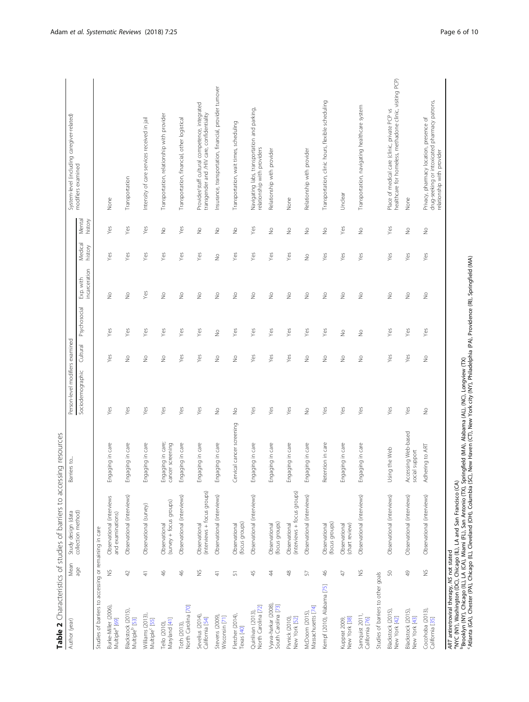<span id="page-5-0"></span>

|                                                       |                           | Table 2 Characteristics of studies of barriers to accessing resources |                                           |                                 |                          |                          |                            |                   |                          |                                                                                                                        |
|-------------------------------------------------------|---------------------------|-----------------------------------------------------------------------|-------------------------------------------|---------------------------------|--------------------------|--------------------------|----------------------------|-------------------|--------------------------|------------------------------------------------------------------------------------------------------------------------|
| Author (year)                                         | Mean                      | Study design (data                                                    | Barriers to.                              | Person-level modifiers examined |                          |                          |                            |                   |                          | System-level (including caregiver-related)                                                                             |
|                                                       | age                       | collection method)                                                    |                                           | Sociodemographic                | Cultural                 | Psychosocial             | incarceration<br>Exp. with | Medica<br>history | Mental<br>history        | modifiers examined                                                                                                     |
| Studies of barriers to accessing or remaining in care |                           |                                                                       |                                           |                                 |                          |                          |                            |                   |                          |                                                                                                                        |
| Burke-Miller (2006)<br>Multiple <sup>a</sup> [69]     | $\breve{}$                | Observational (interviews<br>and examinations)                        | Engaging in care                          | Yes                             | Yes                      | Yes                      | $\stackrel{\circ}{\geq}$   | Yes               | Yes                      | None                                                                                                                   |
| Blackstock (2015)<br>Multiple <sup>b</sup> [53]       | $\varphi$                 | Observational (interviews)                                            | Engaging in care                          | Yes                             | $\stackrel{\circ}{\geq}$ | Yes                      | $\stackrel{\circ}{\geq}$   | Yes               | Yes                      | Transportation                                                                                                         |
| Williams (2013)<br>Multiple <sup>c</sup> [55]         | $\frac{4}{7}$             | Observational (survey)                                                | Engaging in care                          | Yes                             | $\geq$                   | Yes                      | Yes                        | Yes               | Yes                      | Intensity of care services received in jail                                                                            |
| Maryland [41]<br>Tello (2010),                        | $\frac{4}{6}$             | (survey + focus groups)<br>Observational                              | Engaging in care;<br>cancer screening     | Yes                             | $\stackrel{\circ}{\geq}$ | Yes                      | $\stackrel{\circ}{\geq}$   | Yes               | $\stackrel{\circ}{\geq}$ | Transportation, relationship with provider                                                                             |
| North Carolina [70]<br>Toth (2013)                    | $\frac{4}{5}$             | Observational (interviews)                                            | Engaging in care                          | Yes                             | Yes                      | Yes                      | $\frac{\circ}{\mathbb{Z}}$ | Yes               | Yes                      | Transportation, financial, other logistical                                                                            |
| Sevelius (2014),<br>California [54]                   | $\breve{}$                | (interviews + focus groups)<br>Observational                          | Engaging in care                          | Yes                             | Yes                      | Yes                      | $\stackrel{\circ}{\geq}$   | Yes               | $\frac{1}{2}$            | Provider/staff cultural competence, integrated<br>transgender and /HIV care, confidentiality                           |
| Stevens (2009)<br>Wisconsin [71]                      | 4                         | Observational (interviews)                                            | Engaging in care                          | $\stackrel{\circ}{\geq}$        | $\geq$                   | $\geq$                   | $\stackrel{\circ}{\geq}$   | $\geq$            | $\geq$                   | Insurance, transportation, financial, provider turnover                                                                |
| Fletcher (2014),<br>Texas [40]                        | 듮                         | (focus groups)<br>Observational                                       | Cervical cancer screening                 | $\frac{1}{2}$                   | $\geq$                   | Yes                      | $\frac{1}{2}$              | Yes               | $\geq$                   | Transportation, wait times, scheduling                                                                                 |
| North Carolina [72]<br>Quinlivan (2013),              | $45$                      | Observational (interviews)                                            | Engaging in care                          | Yes                             | Yes                      | Yes                      | $\stackrel{\circ}{\geq}$   | Yes               | Yes                      | Navigating labs, transportation and parking,<br>relationship with providers                                            |
| Vyava-harkar (2008)<br>South Carolina [73]            | 4                         | (focus groups)<br>Observational                                       | Engaging in care                          | Yes                             | Yes                      | Yes                      | $\stackrel{\circ}{\geq}$   | Yes               | ş                        | Relationship with provider                                                                                             |
| Pivnick (2010),<br>New York [52]                      | Ҿ                         | (interviews + focus groups)<br>Observational                          | Engaging in care                          | Yes                             | Yes                      | Yes                      | $\frac{0}{2}$              | Yes               | ş                        | None                                                                                                                   |
| Massachusetts [74]<br>McDoom (2015),                  | 57                        | Observational (interviews)                                            | Engaging in care                          | $\stackrel{\circ}{\geq}$        | $\stackrel{\circ}{\geq}$ | Yes                      | $\stackrel{\circ}{\geq}$   | $\frac{1}{2}$     | $\frac{1}{2}$            | Relationship with provider                                                                                             |
| Kempf (2010), Alabama [75]                            | ₩                         | (focus groups)<br>Observational                                       | Retention in care                         | Yes                             | $\frac{1}{2}$            | Yes                      | $\frac{1}{2}$              | Yes               | $\frac{1}{2}$            | Transportation, clinic hours, flexible scheduling                                                                      |
| New York [38]<br>Kupprat 2009,                        | A)                        | Observational<br>(chart review)                                       | Engaging in care                          | Yes                             | $\stackrel{\circ}{\geq}$ | $\geq$                   | $\stackrel{\circ}{\geq}$   | Yes               | Yes                      | Undear                                                                                                                 |
| Samquist 2011,<br>California [76]                     | $\gtrapprox$              | Observational (interviews)                                            | Engaging in care                          | Yes                             | $\frac{0}{2}$            | $\stackrel{\circ}{\geq}$ | $\stackrel{\circ}{\geq}$   | Yes               | ş                        | Transportation, navigating healthcare system                                                                           |
| Studies of barriers to other goals                    |                           |                                                                       |                                           |                                 |                          |                          |                            |                   |                          |                                                                                                                        |
| Blackstock (2015)<br>New York [42]                    | $\mathbb{S}^{\mathbb{O}}$ | Observational (interviews)                                            | Using the Web                             | Yes                             | Yes                      | Yes                      | $\frac{\circ}{2}$          | Yes               | Yes                      | healthcare for homeless, methadone clinic, visiting PCP)<br>Place of medical care (clinic, private PCP vs              |
| Blackstock (2015),<br>New York [43]                   | $\frac{6}{5}$             | Observational (interviews)                                            | Accessing Web-based<br>ial support<br>SOC | Yes                             | Yes                      | Yes                      | $\stackrel{\circ}{\geq}$   | Yes               | $\geq$                   | None                                                                                                                   |
| Cocohoba (2013),<br>California [35]                   | $\breve{}$                | Observational (interviews)                                            | Adhering to ART                           | $\frac{\circ}{\mathbb{Z}}$      | $\frac{0}{2}$            | Yes                      | $\frac{\circ}{\sim}$       | Yes               | $\stackrel{\circ}{\geq}$ | drug-seeking or intoxicated pharmacy patrons,<br>Privacy, pharmacy location, presence of<br>relationship with provider |

ART antiretroviral therapy, NS not stated

aNYC (NY), Washington (DC), Chicago (IL), LA and San Francisco (CA)

bBrooklyn (NY), Chicago (IL), LA (CA), Miami (FL), San Antonio (TX), Springfield (MA), Alabama (AL), (NC), Longview (TX)

cAtlanta (GA), Chester (PA), Chicago (IL), Cleveland (OH), Columbia (SC), New Haven (CT), New York city (NY), Philadelphia (PA), Providence (RI), Springfield (MA)

ART antiretroviral therapy, MS not stated<br>"NYC (NY), Washington (IC), Chicago (IL), LA and San Francisco (CA)<br>"Brooklyn (NY), Chicago (IL), LA (CA), Miami (FL), San Antonio (TX), Springfield (MA), Alabama (AL), NC), Longvi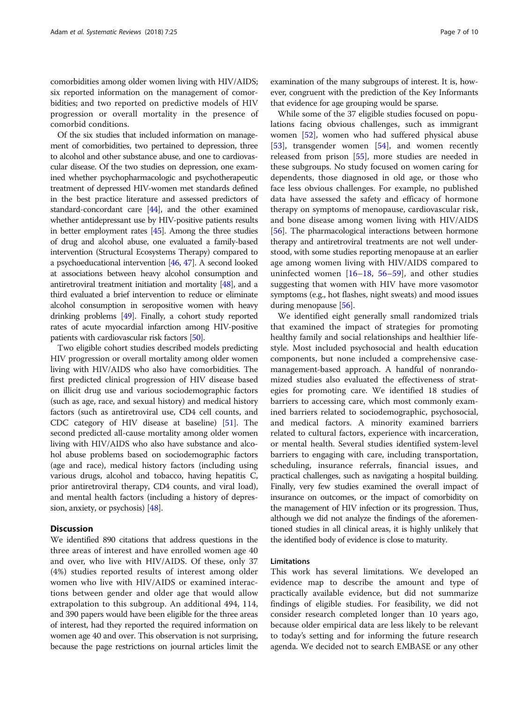comorbidities among older women living with HIV/AIDS; six reported information on the management of comorbidities; and two reported on predictive models of HIV progression or overall mortality in the presence of comorbid conditions.

Of the six studies that included information on management of comorbidities, two pertained to depression, three to alcohol and other substance abuse, and one to cardiovascular disease. Of the two studies on depression, one examined whether psychopharmacologic and psychotherapeutic treatment of depressed HIV-women met standards defined in the best practice literature and assessed predictors of standard-concordant care [\[44\]](#page-9-0), and the other examined whether antidepressant use by HIV-positive patients results in better employment rates [[45\]](#page-9-0). Among the three studies of drug and alcohol abuse, one evaluated a family-based intervention (Structural Ecosystems Therapy) compared to a psychoeducational intervention [\[46,](#page-9-0) [47](#page-9-0)]. A second looked at associations between heavy alcohol consumption and antiretroviral treatment initiation and mortality [\[48\]](#page-9-0), and a third evaluated a brief intervention to reduce or eliminate alcohol consumption in seropositive women with heavy drinking problems [\[49\]](#page-9-0). Finally, a cohort study reported rates of acute myocardial infarction among HIV-positive patients with cardiovascular risk factors [\[50\]](#page-9-0).

Two eligible cohort studies described models predicting HIV progression or overall mortality among older women living with HIV/AIDS who also have comorbidities. The first predicted clinical progression of HIV disease based on illicit drug use and various sociodemographic factors (such as age, race, and sexual history) and medical history factors (such as antiretroviral use, CD4 cell counts, and CDC category of HIV disease at baseline) [\[51](#page-9-0)]. The second predicted all-cause mortality among older women living with HIV/AIDS who also have substance and alcohol abuse problems based on sociodemographic factors (age and race), medical history factors (including using various drugs, alcohol and tobacco, having hepatitis C, prior antiretroviral therapy, CD4 counts, and viral load), and mental health factors (including a history of depression, anxiety, or psychosis) [[48](#page-9-0)].

# **Discussion**

We identified 890 citations that address questions in the three areas of interest and have enrolled women age 40 and over, who live with HIV/AIDS. Of these, only 37 (4%) studies reported results of interest among older women who live with HIV/AIDS or examined interactions between gender and older age that would allow extrapolation to this subgroup. An additional 494, 114, and 390 papers would have been eligible for the three areas of interest, had they reported the required information on women age 40 and over. This observation is not surprising, because the page restrictions on journal articles limit the examination of the many subgroups of interest. It is, however, congruent with the prediction of the Key Informants that evidence for age grouping would be sparse.

While some of the 37 eligible studies focused on populations facing obvious challenges, such as immigrant women [[52\]](#page-9-0), women who had suffered physical abuse [[53\]](#page-9-0), transgender women [\[54\]](#page-9-0), and women recently released from prison [[55](#page-9-0)], more studies are needed in these subgroups. No study focused on women caring for dependents, those diagnosed in old age, or those who face less obvious challenges. For example, no published data have assessed the safety and efficacy of hormone therapy on symptoms of menopause, cardiovascular risk, and bone disease among women living with HIV/AIDS [[56\]](#page-9-0). The pharmacological interactions between hormone therapy and antiretroviral treatments are not well understood, with some studies reporting menopause at an earlier age among women living with HIV/AIDS compared to uninfected women  $[16–18, 56–59]$  $[16–18, 56–59]$  $[16–18, 56–59]$  $[16–18, 56–59]$  $[16–18, 56–59]$  $[16–18, 56–59]$  $[16–18, 56–59]$  $[16–18, 56–59]$ , and other studies suggesting that women with HIV have more vasomotor symptoms (e.g., hot flashes, night sweats) and mood issues during menopause [[56](#page-9-0)].

We identified eight generally small randomized trials that examined the impact of strategies for promoting healthy family and social relationships and healthier lifestyle. Most included psychosocial and health education components, but none included a comprehensive casemanagement-based approach. A handful of nonrandomized studies also evaluated the effectiveness of strategies for promoting care. We identified 18 studies of barriers to accessing care, which most commonly examined barriers related to sociodemographic, psychosocial, and medical factors. A minority examined barriers related to cultural factors, experience with incarceration, or mental health. Several studies identified system-level barriers to engaging with care, including transportation, scheduling, insurance referrals, financial issues, and practical challenges, such as navigating a hospital building. Finally, very few studies examined the overall impact of insurance on outcomes, or the impact of comorbidity on the management of HIV infection or its progression. Thus, although we did not analyze the findings of the aforementioned studies in all clinical areas, it is highly unlikely that the identified body of evidence is close to maturity.

# Limitations

This work has several limitations. We developed an evidence map to describe the amount and type of practically available evidence, but did not summarize findings of eligible studies. For feasibility, we did not consider research completed longer than 10 years ago, because older empirical data are less likely to be relevant to today's setting and for informing the future research agenda. We decided not to search EMBASE or any other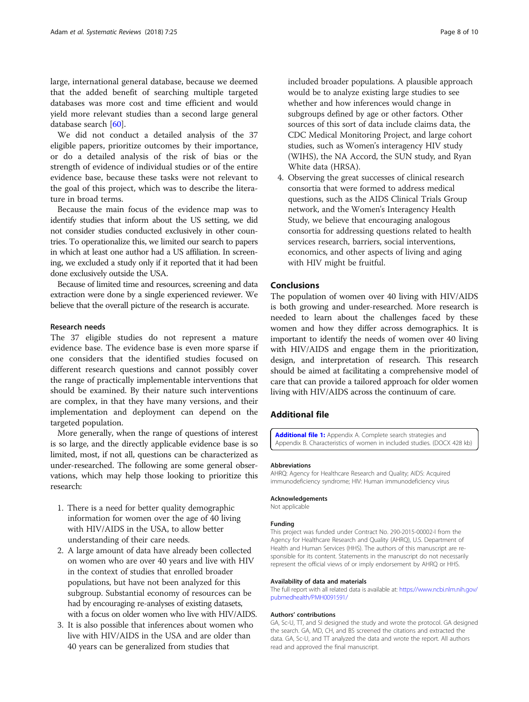<span id="page-7-0"></span>large, international general database, because we deemed that the added benefit of searching multiple targeted databases was more cost and time efficient and would yield more relevant studies than a second large general database search [[60\]](#page-9-0).

We did not conduct a detailed analysis of the 37 eligible papers, prioritize outcomes by their importance, or do a detailed analysis of the risk of bias or the strength of evidence of individual studies or of the entire evidence base, because these tasks were not relevant to the goal of this project, which was to describe the literature in broad terms.

Because the main focus of the evidence map was to identify studies that inform about the US setting, we did not consider studies conducted exclusively in other countries. To operationalize this, we limited our search to papers in which at least one author had a US affiliation. In screening, we excluded a study only if it reported that it had been done exclusively outside the USA.

Because of limited time and resources, screening and data extraction were done by a single experienced reviewer. We believe that the overall picture of the research is accurate.

#### Research needs

The 37 eligible studies do not represent a mature evidence base. The evidence base is even more sparse if one considers that the identified studies focused on different research questions and cannot possibly cover the range of practically implementable interventions that should be examined. By their nature such interventions are complex, in that they have many versions, and their implementation and deployment can depend on the targeted population.

More generally, when the range of questions of interest is so large, and the directly applicable evidence base is so limited, most, if not all, questions can be characterized as under-researched. The following are some general observations, which may help those looking to prioritize this research:

- 1. There is a need for better quality demographic information for women over the age of 40 living with HIV/AIDS in the USA, to allow better understanding of their care needs.
- 2. A large amount of data have already been collected on women who are over 40 years and live with HIV in the context of studies that enrolled broader populations, but have not been analyzed for this subgroup. Substantial economy of resources can be had by encouraging re-analyses of existing datasets, with a focus on older women who live with HIV/AIDS.
- 3. It is also possible that inferences about women who live with HIV/AIDS in the USA and are older than 40 years can be generalized from studies that

included broader populations. A plausible approach would be to analyze existing large studies to see whether and how inferences would change in subgroups defined by age or other factors. Other sources of this sort of data include claims data, the CDC Medical Monitoring Project, and large cohort studies, such as Women's interagency HIV study (WIHS), the NA Accord, the SUN study, and Ryan White data (HRSA).

4. Observing the great successes of clinical research consortia that were formed to address medical questions, such as the AIDS Clinical Trials Group network, and the Women's Interagency Health Study, we believe that encouraging analogous consortia for addressing questions related to health services research, barriers, social interventions, economics, and other aspects of living and aging with HIV might be fruitful.

# Conclusions

The population of women over 40 living with HIV/AIDS is both growing and under-researched. More research is needed to learn about the challenges faced by these women and how they differ across demographics. It is important to identify the needs of women over 40 living with HIV/AIDS and engage them in the prioritization, design, and interpretation of research. This research should be aimed at facilitating a comprehensive model of care that can provide a tailored approach for older women living with HIV/AIDS across the continuum of care.

# Additional file

[Additional file 1:](dx.doi.org/10.1186/s13643-018-0684-y) Appendix A. Complete search strategies and Appendix B. Characteristics of women in included studies. (DOCX 428 kb)

#### Abbreviations

AHRQ: Agency for Healthcare Research and Quality; AIDS: Acquired immunodeficiency syndrome; HIV: Human immunodeficiency virus

#### Acknowledgements Not applicable

# Funding

This project was funded under Contract No. 290-2015-00002-I from the Agency for Healthcare Research and Quality (AHRQ), U.S. Department of Health and Human Services (HHS). The authors of this manuscript are responsible for its content. Statements in the manuscript do not necessarily represent the official views of or imply endorsement by AHRQ or HHS.

#### Availability of data and materials

The full report with all related data is available at: [https://www.ncbi.nlm.nih.gov/](https://www.ncbi.nlm.nih.gov/pubmedhealth/PMH0091591/) [pubmedhealth/PMH0091591/](https://www.ncbi.nlm.nih.gov/pubmedhealth/PMH0091591/)

#### Authors' contributions

GA, Sc-U, TT, and SI designed the study and wrote the protocol. GA designed the search. GA, MD, CH, and BS screened the citations and extracted the data. GA, Sc-U, and TT analyzed the data and wrote the report. All authors read and approved the final manuscript.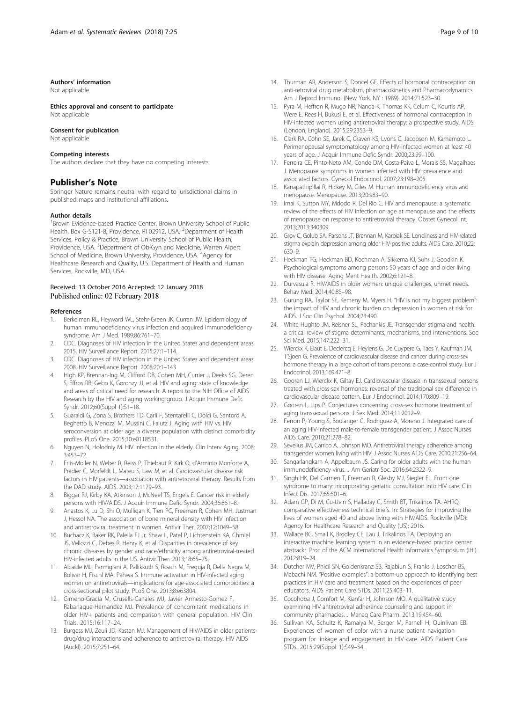#### <span id="page-8-0"></span>Authors' information

Not applicable

Ethics approval and consent to participate Not applicable

#### Consent for publication

Not applicable

### Competing interests

The authors declare that they have no competing interests.

# Publisher's Note

Springer Nature remains neutral with regard to jurisdictional claims in published maps and institutional affiliations.

#### Author details

<sup>1</sup> Brown Evidence-based Practice Center, Brown University School of Public Health, Box G-S121-8, Providence, RI 02912, USA. <sup>2</sup> Department of Health Services, Policy & Practice, Brown University School of Public Health, Providence, USA. <sup>3</sup>Department of Ob-Gyn and Medicine, Warren Alpert School of Medicine, Brown University, Providence, USA. <sup>4</sup>Agency for Healthcare Research and Quality, U.S. Department of Health and Human Services, Rockville, MD, USA.

### Received: 13 October 2016 Accepted: 12 January 2018 Published online: 02 February 2018

#### References

- 1. Berkelman RL, Heyward WL, Stehr-Green JK, Curran JW. Epidemiology of human immunodeficiency virus infection and acquired immunodeficiency syndrome. Am J Med. 1989;86:761–70.
- 2. CDC. Diagnoses of HIV infection in the United States and dependent areas, 2015. HIV Surveillance Report. 2015;27:1–114.
- 3. CDC. Diagnoses of HIV infection in the United States and dependent areas, 2008. HIV Surveillance Report. 2008;20:1–143
- 4. High KP, Brennan-Ing M, Clifford DB, Cohen MH, Currier J, Deeks SG, Deren S, Effros RB, Gebo K, Goronzy JJ, et al. HIV and aging: state of knowledge and areas of critical need for research. A report to the NIH Office of AIDS Research by the HIV and aging working group. J Acquir Immune Defic Syndr. 2012;60(Suppl 1):S1–18.
- 5. Guaraldi G, Zona S, Brothers TD, Carli F, Stentarelli C, Dolci G, Santoro A, Beghetto B, Menozzi M, Mussini C, Falutz J. Aging with HIV vs. HIV seroconversion at older age: a diverse population with distinct comorbidity profiles. PLoS One. 2015;10:e0118531.
- 6. Nguyen N, Holodniy M. HIV infection in the elderly. Clin Interv Aging. 2008; 3:453–72.
- 7. Friis-Moller N, Weber R, Reiss P, Thiebaut R, Kirk O, d'Arminio Monforte A, Pradier C, Morfeldt L, Mateu S, Law M, et al. Cardiovascular disease risk factors in HIV patients—association with antiretroviral therapy. Results from the DAD study. AIDS. 2003;17:1179–93.
- 8. Biggar RJ, Kirby KA, Atkinson J, McNeel TS, Engels E. Cancer risk in elderly persons with HIV/AIDS. J Acquir Immune Defic Syndr. 2004;36:861–8.
- 9. Anastos K, Lu D, Shi O, Mulligan K, Tien PC, Freeman R, Cohen MH, Justman J, Hessol NA. The association of bone mineral density with HIV infection and antiretroviral treatment in women. Antivir Ther. 2007;12:1049–58.
- 10. Buchacz K, Baker RK, Palella FJ Jr, Shaw L, Patel P, Lichtenstein KA, Chmiel JS, Vellozzi C, Debes R, Henry K, et al. Disparities in prevalence of key chronic diseases by gender and race/ethnicity among antiretroviral-treated HIV-infected adults in the US. Antivir Ther. 2013;18:65–75.
- 11. Alcaide ML, Parmigiani A, Pallikkuth S, Roach M, Freguja R, Della Negra M, Bolivar H, Fischl MA, Pahwa S. Immune activation in HIV-infected aging women on antiretrovirals—implications for age-associated comorbidities: a cross-sectional pilot study. PLoS One. 2013;8:e63804.
- 12. Gimeno-Gracia M, Crusells-Canales MJ, Javier Armesto-Gomez F, Rabanaque-Hernandez MJ. Prevalence of concomitant medications in older HIV+ patients and comparison with general population. HIV Clin Trials. 2015;16:117–24.
- 13. Burgess MJ, Zeuli JD, Kasten MJ. Management of HIV/AIDS in older patientsdrug/drug interactions and adherence to antiretroviral therapy. HIV AIDS (Auckl). 2015;7:251–64.
- 14. Thurman AR, Anderson S, Doncel GF. Effects of hormonal contraception on anti-retroviral drug metabolism, pharmacokinetics and Pharmacodynamics. Am J Reprod Immunol (New York, NY : 1989). 2014;71:523–30.
- 15. Pyra M, Heffron R, Mugo NR, Nanda K, Thomas KK, Celum C, Kourtis AP, Were E, Rees H, Bukusi E, et al. Effectiveness of hormonal contraception in HIV-infected women using antiretroviral therapy: a prospective study. AIDS (London, England). 2015;29:2353–9.
- 16. Clark RA, Cohn SE, Jarek C, Craven KS, Lyons C, Jacobson M, Kamemoto L. Perimenopausal symptomatology among HIV-infected women at least 40 years of age. J Acquir Immune Defic Syndr. 2000;23:99–100.
- 17. Ferreira CE, Pinto-Neto AM, Conde DM, Costa-Paiva L, Morais SS, Magalhaes J. Menopause symptoms in women infected with HIV: prevalence and associated factors. Gynecol Endocrinol. 2007;23:198–205.
- 18. Kanapathipillai R, Hickey M, Giles M. Human immunodeficiency virus and menopause. Menopause. 2013;20:983–90.
- 19. Imai K, Sutton MY, Mdodo R, Del Rio C. HIV and menopause: a systematic review of the effects of HIV infection on age at menopause and the effects of menopause on response to antiretroviral therapy. Obstet Gynecol Int. 2013;2013:340309.
- 20. Grov C, Golub SA, Parsons JT, Brennan M, Karpiak SE. Loneliness and HIV-related stigma explain depression among older HIV-positive adults. AIDS Care. 2010;22: 630–9.
- 21. Heckman TG, Heckman BD, Kochman A, Sikkema KJ, Suhr J, Goodkin K. Psychological symptoms among persons 50 years of age and older living with HIV disease. Aging Ment Health. 2002;6:121–8.
- 22. Durvasula R. HIV/AIDS in older women: unique challenges, unmet needs. Behav Med. 2014;40:85–98.
- 23. Gurung RA, Taylor SE, Kemeny M, Myers H. "HIV is not my biggest problem": the impact of HIV and chronic burden on depression in women at risk for AIDS. J Soc Clin Psychol. 2004;23:490.
- 24. White Hughto JM, Reisner SL, Pachankis JE. Transgender stigma and health: a critical review of stigma determinants, mechanisms, and interventions. Soc Sci Med. 2015;147:222–31.
- 25. Wierckx K, Elaut E, Declercq E, Heylens G, De Cuypere G, Taes Y, Kaufman JM, T'Sjoen G. Prevalence of cardiovascular disease and cancer during cross-sex hormone therapy in a large cohort of trans persons: a case-control study. Eur J Endocrinol. 2013;169:471–8.
- 26. Gooren LJ, Wierckx K, Giltay EJ. Cardiovascular disease in transsexual persons treated with cross-sex hormones: reversal of the traditional sex difference in cardiovascular disease pattern. Eur J Endocrinol. 2014;170:809–19.
- 27. Gooren L, Lips P. Conjectures concerning cross-sex hormone treatment of aging transsexual persons. J Sex Med. 2014;11:2012–9.
- 28. Ferron P, Young S, Boulanger C, Rodriguez A, Moreno J. Integrated care of an aging HIV-infected male-to-female transgender patient. J Assoc Nurses AIDS Care. 2010;21:278–82.
- 29. Sevelius JM, Carrico A, Johnson MO. Antiretroviral therapy adherence among transgender women living with HIV. J Assoc Nurses AIDS Care. 2010;21:256–64.
- 30. Sangarlangkarn A, Appelbaum JS. Caring for older adults with the human immunodeficiency virus. J Am Geriatr Soc. 2016;64:2322–9.
- 31. Singh HK, Del Carmen T, Freeman R, Glesby MJ, Siegler EL. From one syndrome to many: incorporating geriatric consultation into HIV care. Clin Infect Dis. 2017;65:501–6.
- 32. Adam GP, Di M, Cu-Uvin S, Halladay C, Smith BT, Trikalinos TA. AHRQ comparative effectiveness technical briefs. In: Strategies for improving the lives of women aged 40 and above living with HIV/AIDS. Rockville (MD): Agency for Healthcare Research and Quality (US); 2016.
- 33. Wallace BC, Small K, Brodley CE, Lau J, Trikalinos TA. Deploying an interactive machine learning system in an evidence-based practice center: abstrackr. Proc of the ACM International Health Informatics Symposium (IHI). 2012:819–24.
- 34. Dutcher MV, Phicil SN, Goldenkranz SB, Rajabiun S, Franks J, Loscher BS, Mabachi NM. "Positive examples": a bottom-up approach to identifying best practices in HIV care and treatment based on the experiences of peer educators. AIDS Patient Care STDs. 2011;25:403–11.
- 35. Cocohoba J, Comfort M, Kianfar H, Johnson MO. A qualitative study examining HIV antiretroviral adherence counseling and support in community pharmacies. J Manag Care Pharm. 2013;19:454–60.
- 36. Sullivan KA, Schultz K, Ramaiya M, Berger M, Parnell H, Quinlivan EB. Experiences of women of color with a nurse patient navigation program for linkage and engagement in HIV care. AIDS Patient Care STDs. 2015;29(Suppl 1):S49–54.